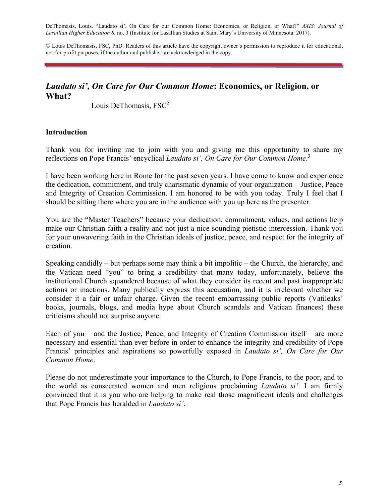DeThomasis, Louis. "Laudato si', On Care for our Common Home: Economics, or Religion, or What?" *AXIS: Journal of Lasallian Higher Education 8*, no. 3 (Institute for Lasallian Studies at Saint Mary's University of Minnesota: 2017).

© Louis DeThomasis, FSC, PhD. Readers of this article have the copyright owner's permission to reproduce it for educational, not-for-profit purposes, if the author and publisher are acknowledged in the copy.

# *Laudato si', On Care for Our Common Home***: Economics, or Religion, or What?**

Louis DeThomasis, FSC<sup>2</sup>

### **Introduction**

Thank you for inviting me to join with you and giving me this opportunity to share my reflections on Pope Francis' encyclical *Laudato si', On Care for Our Common Home*. 3

I have been working here in Rome for the past seven years. I have come to know and experience the dedication, commitment, and truly charismatic dynamic of your organization – Justice, Peace and Integrity of Creation Commission. I am honored to be with you today. Truly I feel that I should be sitting there where you are in the audience with you up here as the presenter.

You are the "Master Teachers" because your dedication, commitment, values, and actions help make our Christian faith a reality and not just a nice sounding pietistic intercession. Thank you for your unwavering faith in the Christian ideals of justice, peace, and respect for the integrity of creation.

Speaking candidly – but perhaps some may think a bit impolitic – the Church, the hierarchy, and the Vatican need "you" to bring a credibility that many today, unfortunately, believe the institutional Church squandered because of what they consider its recent and past inappropriate actions or inactions. Many publically express this accusation, and it is irrelevant whether we consider it a fair or unfair charge. Given the recent embarrassing public reports (Vatileaks' books, journals, blogs, and media hype about Church scandals and Vatican finances) these criticisms should not surprise anyone.

Each of you – and the Justice, Peace, and Integrity of Creation Commission itself – are more necessary and essential than ever before in order to enhance the integrity and credibility of Pope Francis' principles and aspirations so powerfully exposed in *Laudato si', On Care for Our Common Home*.

Please do not underestimate your importance to the Church, to Pope Francis, to the poor, and to the world as consecrated women and men religious proclaiming *Laudato si'*. I am firmly convinced that it is you who are helping to make real those magnificent ideals and challenges that Pope Francis has heralded in *Laudato si'*.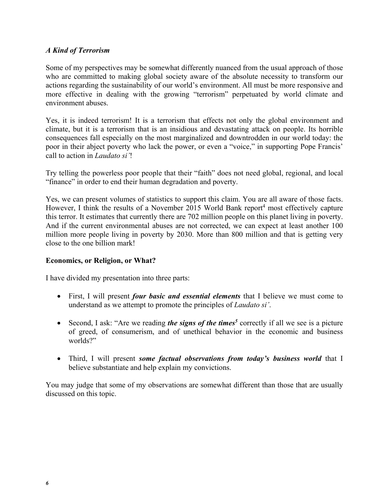# *A Kind of Terrorism*

Some of my perspectives may be somewhat differently nuanced from the usual approach of those who are committed to making global society aware of the absolute necessity to transform our actions regarding the sustainability of our world's environment. All must be more responsive and more effective in dealing with the growing "terrorism" perpetuated by world climate and environment abuses.

Yes, it is indeed terrorism! It is a terrorism that effects not only the global environment and climate, but it is a terrorism that is an insidious and devastating attack on people. Its horrible consequences fall especially on the most marginalized and downtrodden in our world today: the poor in their abject poverty who lack the power, or even a "voice," in supporting Pope Francis' call to action in *Laudato si'*!

Try telling the powerless poor people that their "faith" does not need global, regional, and local "finance" in order to end their human degradation and poverty.

Yes, we can present volumes of statistics to support this claim. You are all aware of those facts. However, I think the results of a November 2015 World Bank report<sup>4</sup> most effectively capture this terror. It estimates that currently there are 702 million people on this planet living in poverty. And if the current environmental abuses are not corrected, we can expect at least another 100 million more people living in poverty by 2030. More than 800 million and that is getting very close to the one billion mark!

# **Economics, or Religion, or What?**

I have divided my presentation into three parts:

- First, I will present *four basic and essential elements* that I believe we must come to understand as we attempt to promote the principles of *Laudato si'*.
- Second, I ask: "Are we reading *the signs of the times*<sup>5</sup> correctly if all we see is a picture of greed, of consumerism, and of unethical behavior in the economic and business worlds?"
- Third, I will present *some factual observations from today's business world* that I believe substantiate and help explain my convictions.

You may judge that some of my observations are somewhat different than those that are usually discussed on this topic.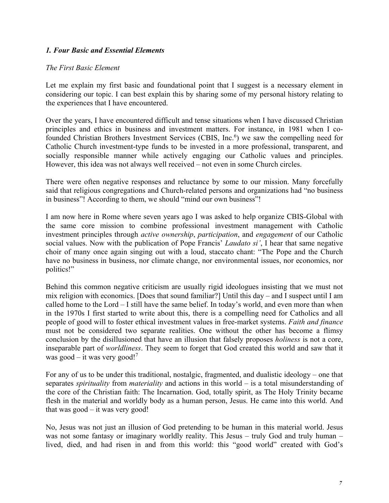### *1. Four Basic and Essential Elements*

#### *The First Basic Element*

Let me explain my first basic and foundational point that I suggest is a necessary element in considering our topic. I can best explain this by sharing some of my personal history relating to the experiences that I have encountered.

Over the years, I have encountered difficult and tense situations when I have discussed Christian principles and ethics in business and investment matters. For instance, in 1981 when I cofounded Christian Brothers Investment Services (CBIS, Inc.<sup>6</sup>) we saw the compelling need for Catholic Church investment-type funds to be invested in a more professional, transparent, and socially responsible manner while actively engaging our Catholic values and principles. However, this idea was not always well received – not even in some Church circles.

There were often negative responses and reluctance by some to our mission. Many forcefully said that religious congregations and Church-related persons and organizations had "no business in business"! According to them, we should "mind our own business"!

I am now here in Rome where seven years ago I was asked to help organize CBIS-Global with the same core mission to combine professional investment management with Catholic investment principles through *active ownership*, *participation*, and *engagement* of our Catholic social values. Now with the publication of Pope Francis' *Laudato si'*, I hear that same negative choir of many once again singing out with a loud, staccato chant: "The Pope and the Church have no business in business, nor climate change, nor environmental issues, nor economics, nor politics!"

Behind this common negative criticism are usually rigid ideologues insisting that we must not mix religion with economics. [Does that sound familiar?] Until this day – and I suspect until I am called home to the Lord – I still have the same belief. In today's world, and even more than when in the 1970s I first started to write about this, there is a compelling need for Catholics and all people of good will to foster ethical investment values in free-market systems. *Faith and finance* must not be considered two separate realities. One without the other has become a flimsy conclusion by the disillusioned that have an illusion that falsely proposes *holiness* is not a core, inseparable part of *worldliness*. They seem to forget that God created this world and saw that it was good – it was very good!<sup>7</sup>

For any of us to be under this traditional, nostalgic, fragmented, and dualistic ideology – one that separates *spirituality* from *materiality* and actions in this world – is a total misunderstanding of the core of the Christian faith: The Incarnation. God, totally spirit, as The Holy Trinity became flesh in the material and worldly body as a human person, Jesus. He came into this world. And that was good – it was very good!

No, Jesus was not just an illusion of God pretending to be human in this material world. Jesus was not some fantasy or imaginary worldly reality. This Jesus – truly God and truly human – lived, died, and had risen in and from this world: this "good world" created with God's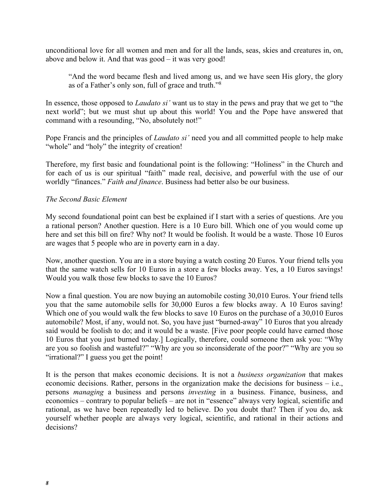unconditional love for all women and men and for all the lands, seas, skies and creatures in, on, above and below it. And that was good – it was very good!

"And the word became flesh and lived among us, and we have seen His glory, the glory as of a Father's only son, full of grace and truth."8

In essence, those opposed to *Laudato si'* want us to stay in the pews and pray that we get to "the next world"; but we must shut up about this world! You and the Pope have answered that command with a resounding, "No, absolutely not!"

Pope Francis and the principles of *Laudato si'* need you and all committed people to help make "whole" and "holy" the integrity of creation!

Therefore, my first basic and foundational point is the following: "Holiness" in the Church and for each of us is our spiritual "faith" made real, decisive, and powerful with the use of our worldly "finances." *Faith and finance*. Business had better also be our business.

### *The Second Basic Element*

My second foundational point can best be explained if I start with a series of questions. Are you a rational person? Another question. Here is a 10 Euro bill. Which one of you would come up here and set this bill on fire? Why not? It would be foolish. It would be a waste. Those 10 Euros are wages that 5 people who are in poverty earn in a day.

Now, another question. You are in a store buying a watch costing 20 Euros. Your friend tells you that the same watch sells for 10 Euros in a store a few blocks away. Yes, a 10 Euros savings! Would you walk those few blocks to save the 10 Euros?

Now a final question. You are now buying an automobile costing 30,010 Euros. Your friend tells you that the same automobile sells for 30,000 Euros a few blocks away. A 10 Euros saving! Which one of you would walk the few blocks to save 10 Euros on the purchase of a 30,010 Euros automobile? Most, if any, would not. So, you have just "burned-away" 10 Euros that you already said would be foolish to do; and it would be a waste. [Five poor people could have earned those 10 Euros that you just burned today.] Logically, therefore, could someone then ask you: "Why are you so foolish and wasteful?" "Why are you so inconsiderate of the poor?" "Why are you so "irrational?" I guess you get the point!

It is the person that makes economic decisions. It is not a *business organization* that makes economic decisions. Rather, persons in the organization make the decisions for business – i.e., persons *managing* a business and persons *investing* in a business. Finance, business, and economics – contrary to popular beliefs – are not in "essence" always very logical, scientific and rational, as we have been repeatedly led to believe. Do you doubt that? Then if you do, ask yourself whether people are always very logical, scientific, and rational in their actions and decisions?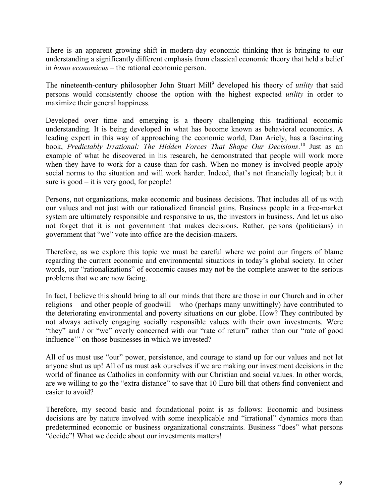There is an apparent growing shift in modern-day economic thinking that is bringing to our understanding a significantly different emphasis from classical economic theory that held a belief in *homo economicus* – the rational economic person.

The nineteenth-century philosopher John Stuart Mill<sup>9</sup> developed his theory of *utility* that said persons would consistently choose the option with the highest expected *utility* in order to maximize their general happiness.

Developed over time and emerging is a theory challenging this traditional economic understanding. It is being developed in what has become known as behavioral economics. A leading expert in this way of approaching the economic world, Dan Ariely, has a fascinating book, *Predictably Irrational: The Hidden Forces That Shape Our Decisions*. 10 Just as an example of what he discovered in his research, he demonstrated that people will work more when they have to work for a cause than for cash. When no money is involved people apply social norms to the situation and will work harder. Indeed, that's not financially logical; but it sure is good – it is very good, for people!

Persons, not organizations, make economic and business decisions. That includes all of us with our values and not just with our rationalized financial gains. Business people in a free-market system are ultimately responsible and responsive to us, the investors in business. And let us also not forget that it is not government that makes decisions. Rather, persons (politicians) in government that "we" vote into office are the decision-makers.

Therefore, as we explore this topic we must be careful where we point our fingers of blame regarding the current economic and environmental situations in today's global society. In other words, our "rationalizations" of economic causes may not be the complete answer to the serious problems that we are now facing.

In fact, I believe this should bring to all our minds that there are those in our Church and in other religions – and other people of goodwill – who (perhaps many unwittingly) have contributed to the deteriorating environmental and poverty situations on our globe. How? They contributed by not always actively engaging socially responsible values with their own investments. Were "they" and / or "we" overly concerned with our "rate of return" rather than our "rate of good influence'" on those businesses in which we invested?

All of us must use "our" power, persistence, and courage to stand up for our values and not let anyone shut us up! All of us must ask ourselves if we are making our investment decisions in the world of finance as Catholics in conformity with our Christian and social values. In other words, are we willing to go the "extra distance" to save that 10 Euro bill that others find convenient and easier to avoid?

Therefore, my second basic and foundational point is as follows: Economic and business decisions are by nature involved with some inexplicable and "irrational" dynamics more than predetermined economic or business organizational constraints. Business "does" what persons "decide"! What we decide about our investments matters!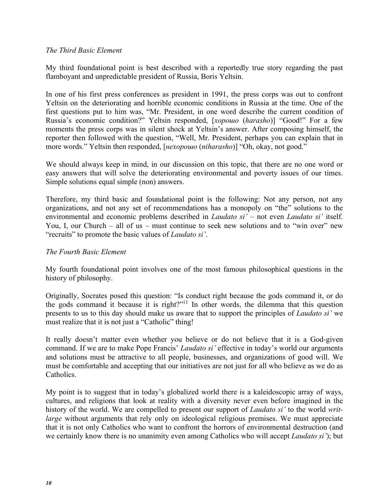### *The Third Basic Element*

My third foundational point is best described with a reportedly true story regarding the past flamboyant and unpredictable president of Russia, Boris Yeltsin.

In one of his first press conferences as president in 1991, the press corps was out to confront Yeltsin on the deteriorating and horrible economic conditions in Russia at the time. One of the first questions put to him was, "Mr. President, in one word describe the current condition of Russia's economic condition?" Yeltsin responded, [*хорошо* (*harasho*)] "Good!" For a few moments the press corps was in silent shock at Yeltsin's answer. After composing himself, the reporter then followed with the question, "Well, Mr. President, perhaps you can explain that in more words." Yeltsin then responded, [*нехорошо* (*niharasho*)] "Oh, okay, not good."

We should always keep in mind, in our discussion on this topic, that there are no one word or easy answers that will solve the deteriorating environmental and poverty issues of our times. Simple solutions equal simple (non) answers.

Therefore, my third basic and foundational point is the following: Not any person, not any organizations, and not any set of recommendations has a monopoly on "the" solutions to the environmental and economic problems described in *Laudato si'* – not even *Laudato si'* itself. You, I, our Church – all of us – must continue to seek new solutions and to "win over" new "recruits" to promote the basic values of *Laudato si'*.

### *The Fourth Basic Element*

My fourth foundational point involves one of the most famous philosophical questions in the history of philosophy.

Originally, Socrates posed this question: "Is conduct right because the gods command it, or do the gods command it because it is right?"11 In other words, the dilemma that this question presents to us to this day should make us aware that to support the principles of *Laudato si'* we must realize that it is not just a "Catholic" thing!

It really doesn't matter even whether you believe or do not believe that it is a God-given command. If we are to make Pope Francis' *Laudato si'* effective in today's world our arguments and solutions must be attractive to all people, businesses, and organizations of good will. We must be comfortable and accepting that our initiatives are not just for all who believe as we do as Catholics.

My point is to suggest that in today's globalized world there is a kaleidoscopic array of ways, cultures, and religions that look at reality with a diversity never even before imagined in the history of the world. We are compelled to present our support of *Laudato si'* to the world *writlarge* without arguments that rely only on ideological religious premises. We must appreciate that it is not only Catholics who want to confront the horrors of environmental destruction (and we certainly know there is no unanimity even among Catholics who will accept *Laudato si'*); but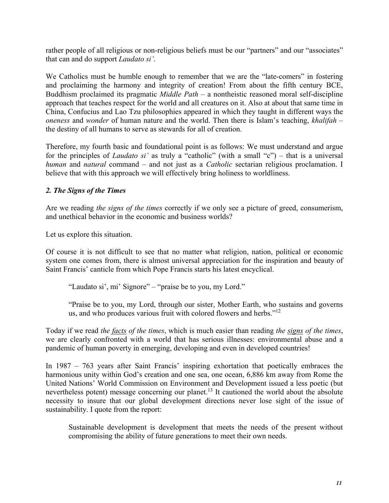rather people of all religious or non-religious beliefs must be our "partners" and our "associates" that can and do support *Laudato si'*.

We Catholics must be humble enough to remember that we are the "late-comers" in fostering and proclaiming the harmony and integrity of creation! From about the fifth century BCE, Buddhism proclaimed its pragmatic *Middle Path* – a nontheistic reasoned moral self-discipline approach that teaches respect for the world and all creatures on it. Also at about that same time in China, Confucius and Lao Tzu philosophies appeared in which they taught in different ways the *oneness* and *wonder* of human nature and the world. Then there is Islam's teaching, *khalifah* – the destiny of all humans to serve as stewards for all of creation.

Therefore, my fourth basic and foundational point is as follows: We must understand and argue for the principles of *Laudato si'* as truly a "catholic" (with a small "c") – that is a universal *human* and *natural* command – and not just as a *Catholic* sectarian religious proclamation. I believe that with this approach we will effectively bring holiness to worldliness.

# *2. The Signs of the Times*

Are we reading *the signs of the times* correctly if we only see a picture of greed, consumerism, and unethical behavior in the economic and business worlds?

Let us explore this situation.

Of course it is not difficult to see that no matter what religion, nation, political or economic system one comes from, there is almost universal appreciation for the inspiration and beauty of Saint Francis' canticle from which Pope Francis starts his latest encyclical.

"Laudato si', mi' Signore" – "praise be to you, my Lord."

"Praise be to you, my Lord, through our sister, Mother Earth, who sustains and governs us, and who produces various fruit with colored flowers and herbs."<sup>12</sup>

Today if we read *the facts of the times*, which is much easier than reading *the signs of the times*, we are clearly confronted with a world that has serious illnesses: environmental abuse and a pandemic of human poverty in emerging, developing and even in developed countries!

In 1987 – 763 years after Saint Francis' inspiring exhortation that poetically embraces the harmonious unity within God's creation and one sea, one ocean, 6,886 km away from Rome the United Nations' World Commission on Environment and Development issued a less poetic (but nevertheless potent) message concerning our planet.<sup>13</sup> It cautioned the world about the absolute necessity to insure that our global development directions never lose sight of the issue of sustainability. I quote from the report:

Sustainable development is development that meets the needs of the present without compromising the ability of future generations to meet their own needs.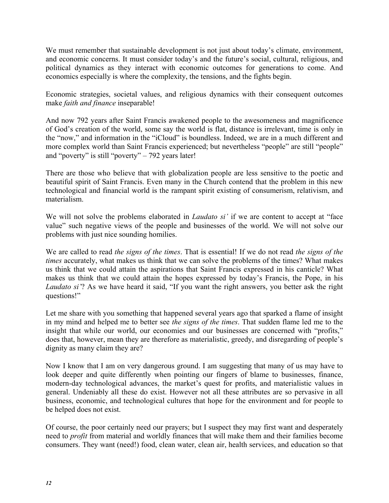We must remember that sustainable development is not just about today's climate, environment, and economic concerns. It must consider today's and the future's social, cultural, religious, and political dynamics as they interact with economic outcomes for generations to come. And economics especially is where the complexity, the tensions, and the fights begin.

Economic strategies, societal values, and religious dynamics with their consequent outcomes make *faith and finance* inseparable!

And now 792 years after Saint Francis awakened people to the awesomeness and magnificence of God's creation of the world, some say the world is flat, distance is irrelevant, time is only in the "now," and information in the "iCloud" is boundless. Indeed, we are in a much different and more complex world than Saint Francis experienced; but nevertheless "people" are still "people" and "poverty" is still "poverty" – 792 years later!

There are those who believe that with globalization people are less sensitive to the poetic and beautiful spirit of Saint Francis. Even many in the Church contend that the problem in this new technological and financial world is the rampant spirit existing of consumerism, relativism, and materialism.

We will not solve the problems elaborated in *Laudato si'* if we are content to accept at "face value" such negative views of the people and businesses of the world. We will not solve our problems with just nice sounding homilies.

We are called to read *the signs of the times*. That is essential! If we do not read *the signs of the times* accurately, what makes us think that we can solve the problems of the times? What makes us think that we could attain the aspirations that Saint Francis expressed in his canticle? What makes us think that we could attain the hopes expressed by today's Francis, the Pope, in his *Laudato si'*? As we have heard it said, "If you want the right answers, you better ask the right questions!"

Let me share with you something that happened several years ago that sparked a flame of insight in my mind and helped me to better see *the signs of the times*. That sudden flame led me to the insight that while our world, our economies and our businesses are concerned with "profits," does that, however, mean they are therefore as materialistic, greedy, and disregarding of people's dignity as many claim they are?

Now I know that I am on very dangerous ground. I am suggesting that many of us may have to look deeper and quite differently when pointing our fingers of blame to businesses, finance, modern-day technological advances, the market's quest for profits, and materialistic values in general. Undeniably all these do exist. However not all these attributes are so pervasive in all business, economic, and technological cultures that hope for the environment and for people to be helped does not exist.

Of course, the poor certainly need our prayers; but I suspect they may first want and desperately need to *profit* from material and worldly finances that will make them and their families become consumers. They want (need!) food, clean water, clean air, health services, and education so that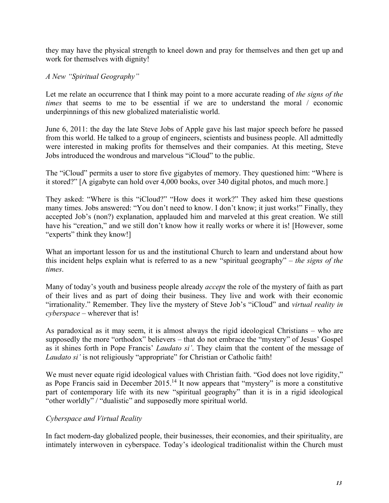they may have the physical strength to kneel down and pray for themselves and then get up and work for themselves with dignity!

*A New "Spiritual Geography"* 

Let me relate an occurrence that I think may point to a more accurate reading of *the signs of the times* that seems to me to be essential if we are to understand the moral / economic underpinnings of this new globalized materialistic world.

June 6, 2011: the day the late Steve Jobs of Apple gave his last major speech before he passed from this world. He talked to a group of engineers, scientists and business people. All admittedly were interested in making profits for themselves and their companies. At this meeting, Steve Jobs introduced the wondrous and marvelous "iCloud" to the public.

The "iCloud" permits a user to store five gigabytes of memory. They questioned him: "Where is it stored?" [A gigabyte can hold over 4,000 books, over 340 digital photos, and much more.]

They asked: "Where is this "iCloud?" "How does it work?" They asked him these questions many times. Jobs answered: "You don't need to know. I don't know; it just works!" Finally, they accepted Job's (non?) explanation, applauded him and marveled at this great creation. We still have his "creation," and we still don't know how it really works or where it is! [However, some "experts" think they know!]

What an important lesson for us and the institutional Church to learn and understand about how this incident helps explain what is referred to as a new "spiritual geography" – *the signs of the times*.

Many of today's youth and business people already *accept* the role of the mystery of faith as part of their lives and as part of doing their business. They live and work with their economic "irrationality." Remember. They live the mystery of Steve Job's "iCloud" and *virtual reality in cyberspace* – wherever that is!

As paradoxical as it may seem, it is almost always the rigid ideological Christians – who are supposedly the more "orthodox" believers – that do not embrace the "mystery" of Jesus' Gospel as it shines forth in Pope Francis' *Laudato si'*. They claim that the content of the message of *Laudato si'* is not religiously "appropriate" for Christian or Catholic faith!

We must never equate rigid ideological values with Christian faith. "God does not love rigidity," as Pope Francis said in December 2015.<sup>14</sup> It now appears that "mystery" is more a constitutive part of contemporary life with its new "spiritual geography" than it is in a rigid ideological "other worldly" / "dualistic" and supposedly more spiritual world.

# *Cyberspace and Virtual Reality*

In fact modern-day globalized people, their businesses, their economies, and their spirituality, are intimately interwoven in cyberspace. Today's ideological traditionalist within the Church must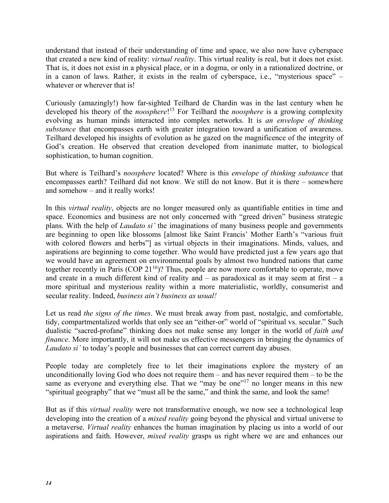understand that instead of their understanding of time and space, we also now have cyberspace that created a new kind of reality: *virtual reality*. This virtual reality is real, but it does not exist. That is, it does not exist in a physical place, or in a dogma, or only in a rationalized doctrine, or in a canon of laws. Rather, it exists in the realm of cyberspace, i.e., "mysterious space" – whatever or wherever that is!

Curiously (amazingly!) how far-sighted Teilhard de Chardin was in the last century when he developed his theory of the *noosphere*! 15 For Teilhard the *noosphere* is a growing complexity evolving as human minds interacted into complex networks. It is *an envelope of thinking substance* that encompasses earth with greater integration toward a unification of awareness. Teilhard developed his insights of evolution as he gazed on the magnificence of the integrity of God's creation. He observed that creation developed from inanimate matter, to biological sophistication, to human cognition.

But where is Teilhard's *noosphere* located? Where is this *envelope of thinking substance* that encompasses earth? Teilhard did not know. We still do not know. But it is there – somewhere and somehow – and it really works!

In this *virtual reality*, objects are no longer measured only as quantifiable entities in time and space. Economics and business are not only concerned with "greed driven" business strategic plans. With the help of *Laudato si'* the imaginations of many business people and governments are beginning to open like blossoms [almost like Saint Francis' Mother Earth's "various fruit with colored flowers and herbs"] as virtual objects in their imaginations. Minds, values, and aspirations are beginning to come together. Who would have predicted just a few years ago that we would have an agreement on environmental goals by almost two hundred nations that came together recently in Paris (COP  $21^{16}$ )? Thus, people are now more comfortable to operate, move and create in a much different kind of reality and  $-$  as paradoxical as it may seem at first  $-$  a more spiritual and mysterious reality within a more materialistic, worldly, consumerist and secular reality. Indeed, *business ain't business as usual!*

Let us read *the signs of the times*. We must break away from past, nostalgic, and comfortable, tidy, compartmentalized worlds that only see an "either-or" world of "spiritual vs. secular." Such dualistic "sacred-profane" thinking does not make sense any longer in the world of *faith and finance*. More importantly, it will not make us effective messengers in bringing the dynamics of *Laudato si'* to today's people and businesses that can correct current day abuses.

People today are completely free to let their imaginations explore the mystery of an unconditionally loving God who does not require them – and has never required them – to be the same as everyone and everything else. That we "may be one"<sup>17</sup> no longer means in this new "spiritual geography" that we "must all be the same," and think the same, and look the same!

But as if this *virtual reality* were not transformative enough, we now see a technological leap developing into the creation of a *mixed reality* going beyond the physical and virtual universe to a metaverse. *Virtual reality* enhances the human imagination by placing us into a world of our aspirations and faith. However, *mixed reality* grasps us right where we are and enhances our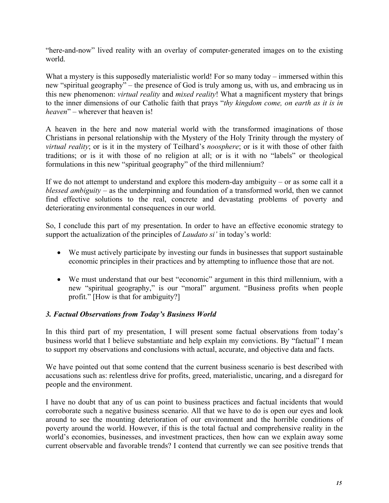"here-and-now" lived reality with an overlay of computer-generated images on to the existing world.

What a mystery is this supposedly materialistic world! For so many today – immersed within this new "spiritual geography" – the presence of God is truly among us, with us, and embracing us in this new phenomenon: *virtual reality* and *mixed reality*! What a magnificent mystery that brings to the inner dimensions of our Catholic faith that prays "*thy kingdom come, on earth as it is in heaven*" – wherever that heaven is!

A heaven in the here and now material world with the transformed imaginations of those Christians in personal relationship with the Mystery of the Holy Trinity through the mystery of *virtual reality*; or is it in the mystery of Teilhard's *noosphere*; or is it with those of other faith traditions; or is it with those of no religion at all; or is it with no "labels" or theological formulations in this new "spiritual geography" of the third millennium?

If we do not attempt to understand and explore this modern-day ambiguity – or as some call it a *blessed ambiguity* – as the underpinning and foundation of a transformed world, then we cannot find effective solutions to the real, concrete and devastating problems of poverty and deteriorating environmental consequences in our world.

So, I conclude this part of my presentation. In order to have an effective economic strategy to support the actualization of the principles of *Laudato si'* in today's world:

- We must actively participate by investing our funds in businesses that support sustainable economic principles in their practices and by attempting to influence those that are not.
- We must understand that our best "economic" argument in this third millennium, with a new "spiritual geography," is our "moral" argument. "Business profits when people profit." [How is that for ambiguity?]

# *3. Factual Observations from Today's Business World*

In this third part of my presentation, I will present some factual observations from today's business world that I believe substantiate and help explain my convictions. By "factual" I mean to support my observations and conclusions with actual, accurate, and objective data and facts.

We have pointed out that some contend that the current business scenario is best described with accusations such as: relentless drive for profits, greed, materialistic, uncaring, and a disregard for people and the environment.

I have no doubt that any of us can point to business practices and factual incidents that would corroborate such a negative business scenario. All that we have to do is open our eyes and look around to see the mounting deterioration of our environment and the horrible conditions of poverty around the world. However, if this is the total factual and comprehensive reality in the world's economies, businesses, and investment practices, then how can we explain away some current observable and favorable trends? I contend that currently we can see positive trends that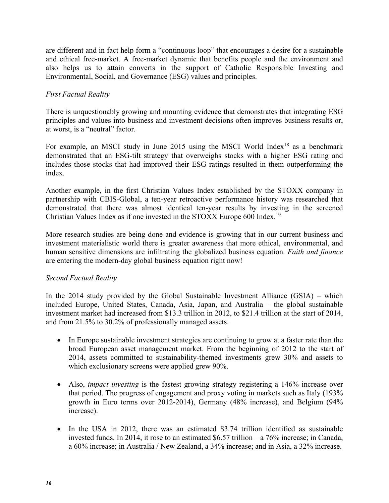are different and in fact help form a "continuous loop" that encourages a desire for a sustainable and ethical free-market. A free-market dynamic that benefits people and the environment and also helps us to attain converts in the support of Catholic Responsible Investing and Environmental, Social, and Governance (ESG) values and principles.

# *First Factual Reality*

There is unquestionably growing and mounting evidence that demonstrates that integrating ESG principles and values into business and investment decisions often improves business results or, at worst, is a "neutral" factor.

For example, an MSCI study in June 2015 using the MSCI World Index<sup>18</sup> as a benchmark demonstrated that an ESG-tilt strategy that overweighs stocks with a higher ESG rating and includes those stocks that had improved their ESG ratings resulted in them outperforming the index.

Another example, in the first Christian Values Index established by the STOXX company in partnership with CBIS-Global, a ten-year retroactive performance history was researched that demonstrated that there was almost identical ten-year results by investing in the screened Christian Values Index as if one invested in the STOXX Europe 600 Index.19

More research studies are being done and evidence is growing that in our current business and investment materialistic world there is greater awareness that more ethical, environmental, and human sensitive dimensions are infiltrating the globalized business equation. *Faith and finance* are entering the modern-day global business equation right now!

# *Second Factual Reality*

In the 2014 study provided by the Global Sustainable Investment Alliance  $(GSIA)$  – which included Europe, United States, Canada, Asia, Japan, and Australia – the global sustainable investment market had increased from \$13.3 trillion in 2012, to \$21.4 trillion at the start of 2014, and from 21.5% to 30.2% of professionally managed assets.

- In Europe sustainable investment strategies are continuing to grow at a faster rate than the broad European asset management market. From the beginning of 2012 to the start of 2014, assets committed to sustainability-themed investments grew 30% and assets to which exclusionary screens were applied grew 90%.
- Also, *impact investing* is the fastest growing strategy registering a 146% increase over that period. The progress of engagement and proxy voting in markets such as Italy (193% growth in Euro terms over 2012-2014), Germany (48% increase), and Belgium (94% increase).
- In the USA in 2012, there was an estimated \$3.74 trillion identified as sustainable invested funds. In 2014, it rose to an estimated  $$6.57$  trillion – a  $76\%$  increase; in Canada, a 60% increase; in Australia / New Zealand, a 34% increase; and in Asia, a 32% increase.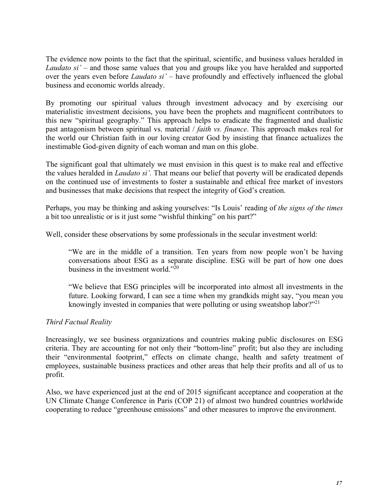The evidence now points to the fact that the spiritual, scientific, and business values heralded in *Laudato si'* – and those same values that you and groups like you have heralded and supported over the years even before *Laudato si'* – have profoundly and effectively influenced the global business and economic worlds already.

By promoting our spiritual values through investment advocacy and by exercising our materialistic investment decisions, you have been the prophets and magnificent contributors to this new "spiritual geography." This approach helps to eradicate the fragmented and dualistic past antagonism between spiritual vs. material / *faith vs. finance*. This approach makes real for the world our Christian faith in our loving creator God by insisting that finance actualizes the inestimable God-given dignity of each woman and man on this globe.

The significant goal that ultimately we must envision in this quest is to make real and effective the values heralded in *Laudato si'.* That means our belief that poverty will be eradicated depends on the continued use of investments to foster a sustainable and ethical free market of investors and businesses that make decisions that respect the integrity of God's creation.

Perhaps, you may be thinking and asking yourselves: "Is Louis' reading of *the signs of the times* a bit too unrealistic or is it just some "wishful thinking" on his part?"

Well, consider these observations by some professionals in the secular investment world:

"We are in the middle of a transition. Ten years from now people won't be having conversations about ESG as a separate discipline. ESG will be part of how one does business in the investment world."<sup>20</sup>

"We believe that ESG principles will be incorporated into almost all investments in the future. Looking forward, I can see a time when my grandkids might say, "you mean you knowingly invested in companies that were polluting or using sweatshop labor? $121$ 

# *Third Factual Reality*

Increasingly, we see business organizations and countries making public disclosures on ESG criteria. They are accounting for not only their "bottom-line" profit; but also they are including their "environmental footprint," effects on climate change, health and safety treatment of employees, sustainable business practices and other areas that help their profits and all of us to profit.

Also, we have experienced just at the end of 2015 significant acceptance and cooperation at the UN Climate Change Conference in Paris (COP 21) of almost two hundred countries worldwide cooperating to reduce "greenhouse emissions" and other measures to improve the environment.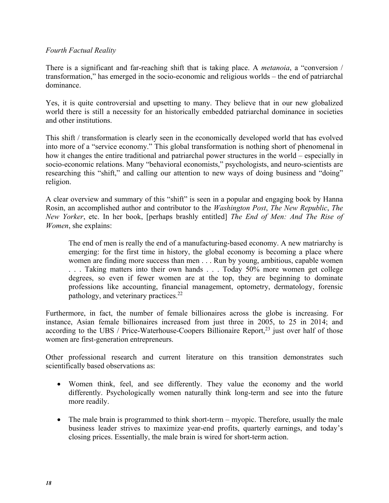### *Fourth Factual Reality*

There is a significant and far-reaching shift that is taking place. A *metanoia*, a "conversion / transformation," has emerged in the socio-economic and religious worlds – the end of patriarchal dominance.

Yes, it is quite controversial and upsetting to many. They believe that in our new globalized world there is still a necessity for an historically embedded patriarchal dominance in societies and other institutions.

This shift / transformation is clearly seen in the economically developed world that has evolved into more of a "service economy." This global transformation is nothing short of phenomenal in how it changes the entire traditional and patriarchal power structures in the world – especially in socio-economic relations. Many "behavioral economists," psychologists, and neuro-scientists are researching this "shift," and calling our attention to new ways of doing business and "doing" religion.

A clear overview and summary of this "shift" is seen in a popular and engaging book by Hanna Rosin, an accomplished author and contributor to the *Washington Post*, *The New Republic*, *The New Yorker*, etc. In her book, [perhaps brashly entitled] *The End of Men: And The Rise of Women*, she explains:

The end of men is really the end of a manufacturing-based economy. A new matriarchy is emerging: for the first time in history, the global economy is becoming a place where women are finding more success than men . . . Run by young, ambitious, capable women . . . Taking matters into their own hands . . . Today 50% more women get college degrees, so even if fewer women are at the top, they are beginning to dominate professions like accounting, financial management, optometry, dermatology, forensic pathology, and veterinary practices.<sup>22</sup>

Furthermore, in fact, the number of female billionaires across the globe is increasing. For instance, Asian female billionaires increased from just three in 2005, to 25 in 2014; and according to the UBS / Price-Waterhouse-Coopers Billionaire Report,<sup>23</sup> just over half of those women are first-generation entrepreneurs.

Other professional research and current literature on this transition demonstrates such scientifically based observations as:

- Women think, feel, and see differently. They value the economy and the world differently. Psychologically women naturally think long-term and see into the future more readily.
- The male brain is programmed to think short-term myopic. Therefore, usually the male business leader strives to maximize year-end profits, quarterly earnings, and today's closing prices. Essentially, the male brain is wired for short-term action.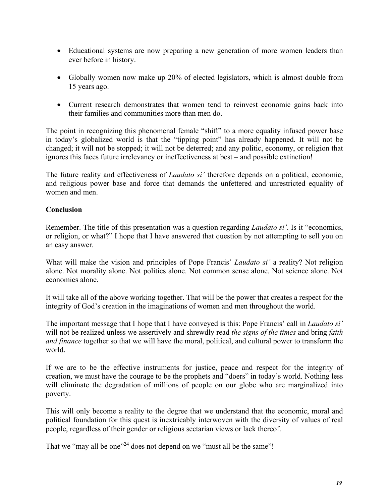- Educational systems are now preparing a new generation of more women leaders than ever before in history.
- Globally women now make up 20% of elected legislators, which is almost double from 15 years ago.
- Current research demonstrates that women tend to reinvest economic gains back into their families and communities more than men do.

The point in recognizing this phenomenal female "shift" to a more equality infused power base in today's globalized world is that the "tipping point" has already happened. It will not be changed; it will not be stopped; it will not be deterred; and any politic, economy, or religion that ignores this faces future irrelevancy or ineffectiveness at best – and possible extinction!

The future reality and effectiveness of *Laudato si'* therefore depends on a political, economic, and religious power base and force that demands the unfettered and unrestricted equality of women and men.

# **Conclusion**

Remember. The title of this presentation was a question regarding *Laudato si'*. Is it "economics, or religion, or what?" I hope that I have answered that question by not attempting to sell you on an easy answer.

What will make the vision and principles of Pope Francis' *Laudato si'* a reality? Not religion alone. Not morality alone. Not politics alone. Not common sense alone. Not science alone. Not economics alone.

It will take all of the above working together. That will be the power that creates a respect for the integrity of God's creation in the imaginations of women and men throughout the world.

The important message that I hope that I have conveyed is this: Pope Francis' call in *Laudato si'* will not be realized unless we assertively and shrewdly read *the signs of the times* and bring *faith and finance* together so that we will have the moral, political, and cultural power to transform the world.

If we are to be the effective instruments for justice, peace and respect for the integrity of creation, we must have the courage to be the prophets and "doers" in today's world. Nothing less will eliminate the degradation of millions of people on our globe who are marginalized into poverty.

This will only become a reality to the degree that we understand that the economic, moral and political foundation for this quest is inextricably interwoven with the diversity of values of real people, regardless of their gender or religious sectarian views or lack thereof.

That we "may all be one"<sup>24</sup> does not depend on we "must all be the same"!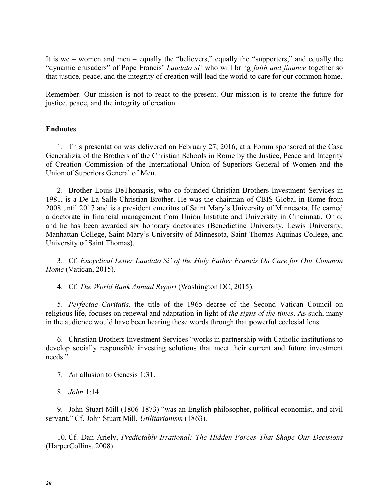It is we – women and men – equally the "believers," equally the "supporters," and equally the "dynamic crusaders" of Pope Francis' *Laudato si'* who will bring *faith and finance* together so that justice, peace, and the integrity of creation will lead the world to care for our common home.

Remember. Our mission is not to react to the present. Our mission is to create the future for justice, peace, and the integrity of creation.

### **Endnotes**

1. This presentation was delivered on February 27, 2016, at a Forum sponsored at the Casa Generalizia of the Brothers of the Christian Schools in Rome by the Justice, Peace and Integrity of Creation Commission of the International Union of Superiors General of Women and the Union of Superiors General of Men.

2. Brother Louis DeThomasis, who co-founded Christian Brothers Investment Services in 1981, is a De La Salle Christian Brother. He was the chairman of CBIS-Global in Rome from 2008 until 2017 and is a president emeritus of Saint Mary's University of Minnesota. He earned a doctorate in financial management from Union Institute and University in Cincinnati, Ohio; and he has been awarded six honorary doctorates (Benedictine University, Lewis University, Manhattan College, Saint Mary's University of Minnesota, Saint Thomas Aquinas College, and University of Saint Thomas).

3. Cf. *Encyclical Letter Laudato Si' of the Holy Father Francis On Care for Our Common Home* (Vatican, 2015).

4. Cf. *The World Bank Annual Report* (Washington DC, 2015).

5. *Perfectae Caritatis*, the title of the 1965 decree of the Second Vatican Council on religious life, focuses on renewal and adaptation in light of *the signs of the times*. As such, many in the audience would have been hearing these words through that powerful ecclesial lens.

6. Christian Brothers Investment Services "works in partnership with Catholic institutions to develop socially responsible investing solutions that meet their current and future investment needs."

7. An allusion to Genesis 1:31.

8. *John* 1:14.

9. John Stuart Mill (1806-1873) "was an English philosopher, political economist, and civil servant." Cf. John Stuart Mill, *Utilitarianism* (1863).

10. Cf. Dan Ariely, *Predictably Irrational: The Hidden Forces That Shape Our Decisions* (HarperCollins, 2008).